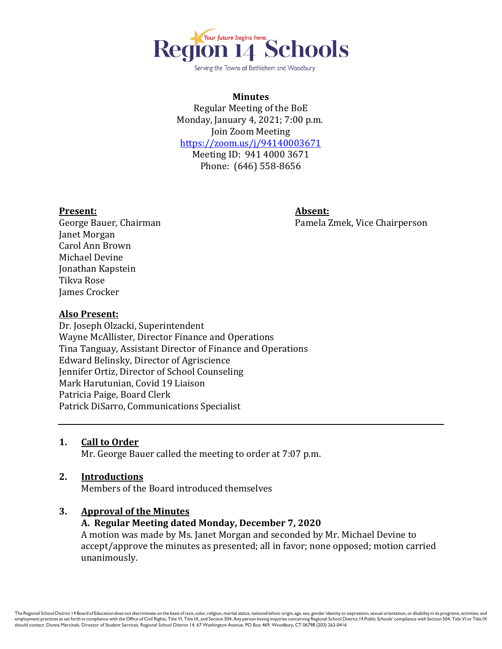

Serving the Towns of Bethlehem and Woodbury

### **Minutes**

Regular Meeting of the BoE Monday, January 4, 2021; 7:00 p.m. Join Zoom Meeting <https://zoom.us/j/94140003671> Meeting ID: 941 4000 3671 Phone: (646) 558-8656

#### **Present: Absent:**

George Bauer, Chairman Pamela Zmek, Vice Chairperson

Janet Morgan Carol Ann Brown Michael Devine Jonathan Kapstein Tikva Rose James Crocker

#### **Also Present:**

Dr. Joseph Olzacki, Superintendent Wayne McAllister, Director Finance and Operations Tina Tanguay, Assistant Director of Finance and Operations Edward Belinsky, Director of Agriscience Jennifer Ortiz, Director of School Counseling Mark Harutunian, Covid 19 Liaison Patricia Paige, Board Clerk Patrick DiSarro, Communications Specialist

### **1. Call to Order**

Mr. George Bauer called the meeting to order at 7:07 p.m.

### **2. Introductions**

Members of the Board introduced themselves

### **3. Approval of the Minutes**

### **A. Regular Meeting dated Monday, December 7, 2020**

A motion was made by Ms. Janet Morgan and seconded by Mr. Michael Devine to accept/approve the minutes as presented; all in favor; none opposed; motion carried unanimously.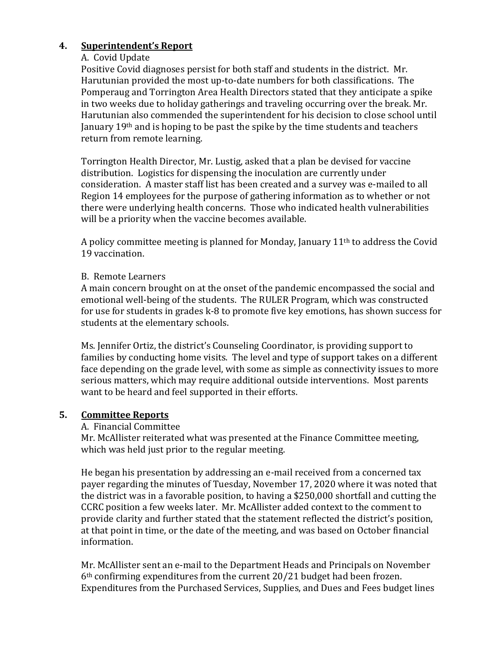# **4. Superintendent's Report**

# A. Covid Update

Positive Covid diagnoses persist for both staff and students in the district. Mr. Harutunian provided the most up-to-date numbers for both classifications. The Pomperaug and Torrington Area Health Directors stated that they anticipate a spike in two weeks due to holiday gatherings and traveling occurring over the break. Mr. Harutunian also commended the superintendent for his decision to close school until January  $19<sup>th</sup>$  and is hoping to be past the spike by the time students and teachers return from remote learning.

Torrington Health Director, Mr. Lustig, asked that a plan be devised for vaccine distribution. Logistics for dispensing the inoculation are currently under consideration. A master staff list has been created and a survey was e-mailed to all Region 14 employees for the purpose of gathering information as to whether or not there were underlying health concerns. Those who indicated health vulnerabilities will be a priority when the vaccine becomes available.

A policy committee meeting is planned for Monday, January 11th to address the Covid 19 vaccination.

# B. Remote Learners

A main concern brought on at the onset of the pandemic encompassed the social and emotional well-being of the students. The RULER Program, which was constructed for use for students in grades k-8 to promote five key emotions, has shown success for students at the elementary schools.

Ms. Jennifer Ortiz, the district's Counseling Coordinator, is providing support to families by conducting home visits. The level and type of support takes on a different face depending on the grade level, with some as simple as connectivity issues to more serious matters, which may require additional outside interventions. Most parents want to be heard and feel supported in their efforts.

# **5. Committee Reports**

## A. Financial Committee

Mr. McAllister reiterated what was presented at the Finance Committee meeting, which was held just prior to the regular meeting.

He began his presentation by addressing an e-mail received from a concerned tax payer regarding the minutes of Tuesday, November 17, 2020 where it was noted that the district was in a favorable position, to having a \$250,000 shortfall and cutting the CCRC position a few weeks later. Mr. McAllister added context to the comment to provide clarity and further stated that the statement reflected the district's position, at that point in time, or the date of the meeting, and was based on October financial information.

Mr. McAllister sent an e-mail to the Department Heads and Principals on November 6th confirming expenditures from the current 20/21 budget had been frozen. Expenditures from the Purchased Services, Supplies, and Dues and Fees budget lines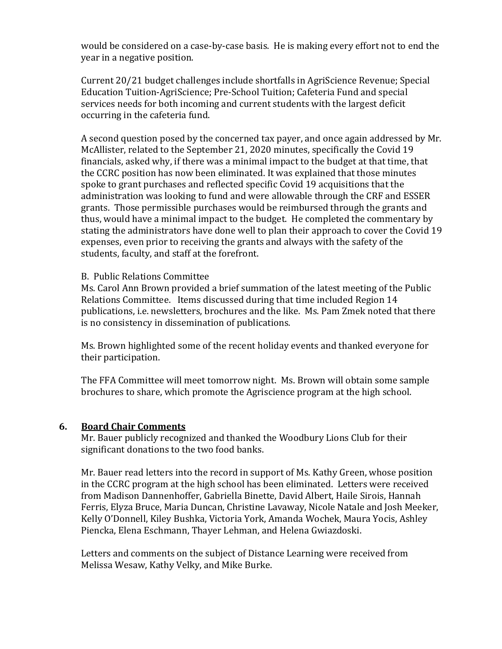would be considered on a case-by-case basis. He is making every effort not to end the year in a negative position.

Current 20/21 budget challenges include shortfalls in AgriScience Revenue; Special Education Tuition-AgriScience; Pre-School Tuition; Cafeteria Fund and special services needs for both incoming and current students with the largest deficit occurring in the cafeteria fund.

A second question posed by the concerned tax payer, and once again addressed by Mr. McAllister, related to the September 21, 2020 minutes, specifically the Covid 19 financials, asked why, if there was a minimal impact to the budget at that time, that the CCRC position has now been eliminated. It was explained that those minutes spoke to grant purchases and reflected specific Covid 19 acquisitions that the administration was looking to fund and were allowable through the CRF and ESSER grants. Those permissible purchases would be reimbursed through the grants and thus, would have a minimal impact to the budget. He completed the commentary by stating the administrators have done well to plan their approach to cover the Covid 19 expenses, even prior to receiving the grants and always with the safety of the students, faculty, and staff at the forefront.

## B. Public Relations Committee

Ms. Carol Ann Brown provided a brief summation of the latest meeting of the Public Relations Committee. Items discussed during that time included Region 14 publications, i.e. newsletters, brochures and the like. Ms. Pam Zmek noted that there is no consistency in dissemination of publications.

Ms. Brown highlighted some of the recent holiday events and thanked everyone for their participation.

The FFA Committee will meet tomorrow night. Ms. Brown will obtain some sample brochures to share, which promote the Agriscience program at the high school.

### **6. Board Chair Comments**

Mr. Bauer publicly recognized and thanked the Woodbury Lions Club for their significant donations to the two food banks.

Mr. Bauer read letters into the record in support of Ms. Kathy Green, whose position in the CCRC program at the high school has been eliminated. Letters were received from Madison Dannenhoffer, Gabriella Binette, David Albert, Haile Sirois, Hannah Ferris, Elyza Bruce, Maria Duncan, Christine Lavaway, Nicole Natale and Josh Meeker, Kelly O'Donnell, Kiley Bushka, Victoria York, Amanda Wochek, Maura Yocis, Ashley Piencka, Elena Eschmann, Thayer Lehman, and Helena Gwiazdoski.

Letters and comments on the subject of Distance Learning were received from Melissa Wesaw, Kathy Velky, and Mike Burke.